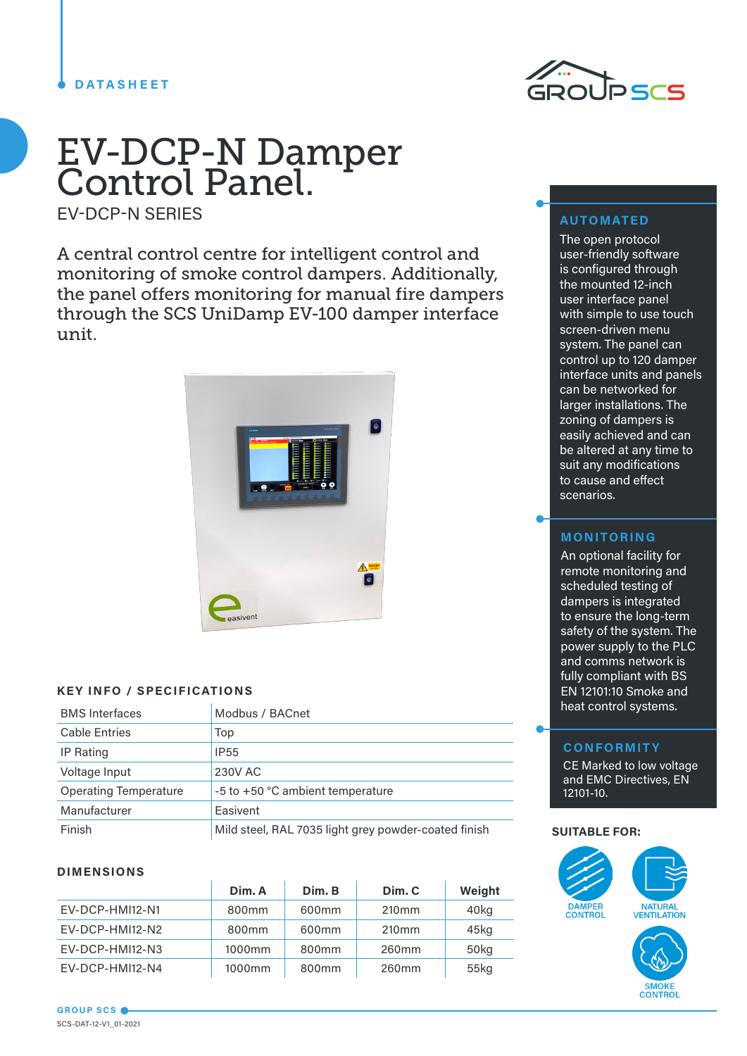#### **DATASHEET**



# EV-DCP-N Damper Control Panel.

EV-DCP-N SERIES

A central control centre for intelligent control and monitoring of smoke control dampers. Additionally, the panel offers monitoring for manual fire dampers through the SCS UniDamp EV-100 damper interface unit.



#### **KEY INFO / SPECIFICATIONS**

| <b>BMS</b> Interfaces        | Modbus / BACnet                                      |
|------------------------------|------------------------------------------------------|
| <b>Cable Entries</b>         | Top                                                  |
| IP Rating                    | <b>IP55</b>                                          |
| Voltage Input                | 230V AC                                              |
| <b>Operating Temperature</b> | -5 to +50 °C ambient temperature                     |
| Manufacturer                 | Easivent                                             |
| Finish                       | Mild steel, RAL 7035 light grey powder-coated finish |

### **DIMENSIONS**

|                 | Dim. A            | Dim. B            | Dim. C            | Weight  |
|-----------------|-------------------|-------------------|-------------------|---------|
| EV-DCP-HMI12-N1 | 800 <sub>mm</sub> | 600 <sub>mm</sub> | 210 <sub>mm</sub> | 40kg    |
| EV-DCP-HMI12-N2 | 800 <sub>mm</sub> | 600 <sub>mm</sub> | 210 <sub>mm</sub> | 45kg    |
| EV-DCP-HMI12-N3 | 1000mm            | 800 <sub>mm</sub> | 260mm             | 50kg    |
| EV-DCP-HMI12-N4 | 1000mm            | 800 <sub>mm</sub> | 260 <sub>mm</sub> | $55$ kg |

## **AUTOMATED**

The open protocol user-friendly software is configured through the mounted 12-inch user interface panel with simple to use touch screen-driven menu system. The panel can control up to 120 damper interface units and panels can be networked for larger installations. The zoning of dampers is easily achieved and can be altered at any time to suit any modifications to cause and effect scenarios.

#### **MONITORING**

An optional facility for remote monitoring and scheduled testing of dampers is integrated to ensure the long-term safety of the system. The power supply to the PLC and comms network is fully compliant with BS EN 12101:10 Smoke and heat control systems.

## **CONFORMITY**

CE Marked to low voltage and EMC Directives, EN 12101-10.

#### **SUITABLE FOR:**